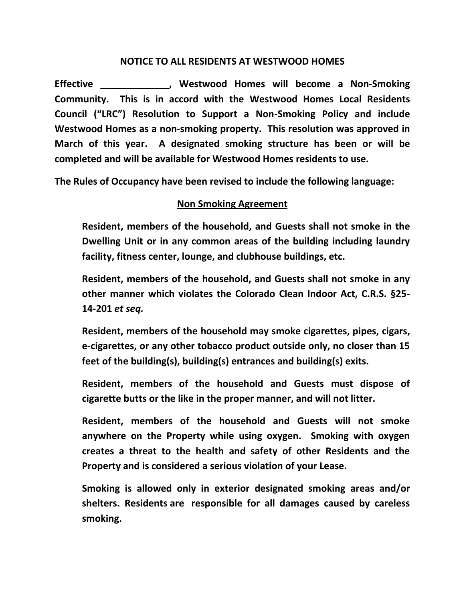## **NOTICE TO ALL RESIDENTS AT WESTWOOD HOMES**

**Effective \_\_\_\_\_\_\_\_\_\_\_\_\_, Westwood Homes will become a Non-Smoking Community. This is in accord with the Westwood Homes Local Residents Council ("LRC") Resolution to Support a Non-Smoking Policy and include Westwood Homes as a non-smoking property. This resolution was approved in March of this year. A designated smoking structure has been or will be completed and will be available for Westwood Homes residents to use.** 

**The Rules of Occupancy have been revised to include the following language:**

## **Non Smoking Agreement**

**Resident, members of the household, and Guests shall not smoke in the Dwelling Unit or in any common areas of the building including laundry facility, fitness center, lounge, and clubhouse buildings, etc.**

**Resident, members of the household, and Guests shall not smoke in any other manner which violates the Colorado Clean Indoor Act, C.R.S. §25- 14-201** *et seq.*

**Resident, members of the household may smoke cigarettes, pipes, cigars, e-cigarettes, or any other tobacco product outside only, no closer than 15 feet of the building(s), building(s) entrances and building(s) exits.**

**Resident, members of the household and Guests must dispose of cigarette butts or the like in the proper manner, and will not litter.**

**Resident, members of the household and Guests will not smoke anywhere on the Property while using oxygen. Smoking with oxygen creates a threat to the health and safety of other Residents and the Property and is considered a serious violation of your Lease.** 

**Smoking is allowed only in exterior designated smoking areas and/or shelters. Residents are responsible for all damages caused by careless smoking.**